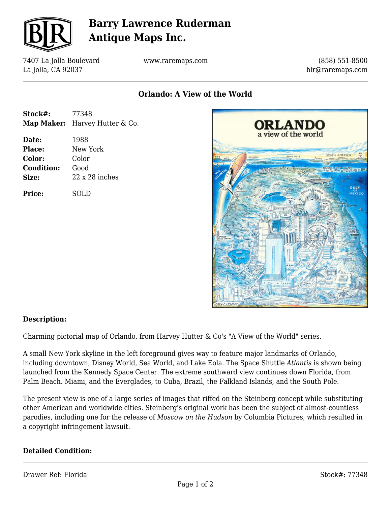

## **Barry Lawrence Ruderman Antique Maps Inc.**

7407 La Jolla Boulevard La Jolla, CA 92037

www.raremaps.com

(858) 551-8500 blr@raremaps.com

**Orlando: A View of the World**

| Stock#: | 77348                          |
|---------|--------------------------------|
|         | Map Maker: Harvey Hutter & Co. |

**Date:** 1988 **Place:** New York **Color:** Color **Condition:** Good **Size:** 22 x 28 inches

**Price:** SOLD



#### **Description:**

Charming pictorial map of Orlando, from Harvey Hutter & Co's "A View of the World" series.

A small New York skyline in the left foreground gives way to feature major landmarks of Orlando, including downtown, Disney World, Sea World, and Lake Eola. The Space Shuttle *Atlantis* is shown being launched from the Kennedy Space Center. The extreme southward view continues down Florida, from Palm Beach. Miami, and the Everglades, to Cuba, Brazil, the Falkland Islands, and the South Pole.

The present view is one of a large series of images that riffed on the Steinberg concept while substituting other American and worldwide cities. Steinberg's original work has been the subject of almost-countless parodies, including one for the release of *Moscow on the Hudson* by Columbia Pictures, which resulted in a copyright infringement lawsuit.

#### **Detailed Condition:**